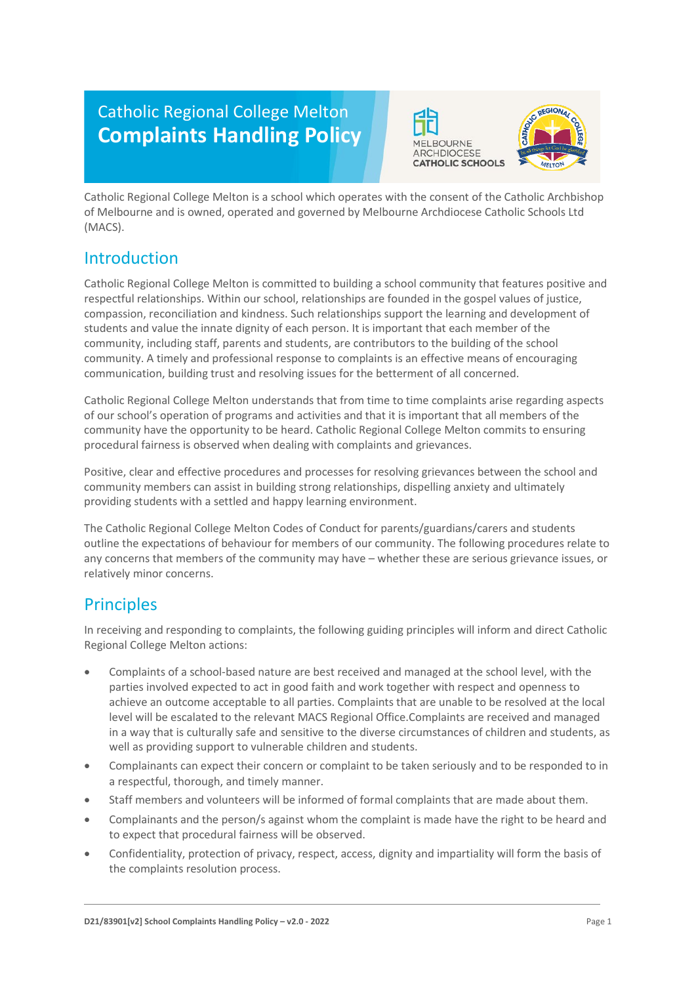# Catholic Regional College Melton **Complaints Handling Policy**





Catholic Regional College Melton is a school which operates with the consent of the Catholic Archbishop of Melbourne and is owned, operated and governed by Melbourne Archdiocese Catholic Schools Ltd (MACS).

### Introduction

Catholic Regional College Melton is committed to building a school community that features positive and respectful relationships. Within our school, relationships are founded in the gospel values of justice, compassion, reconciliation and kindness. Such relationships support the learning and development of students and value the innate dignity of each person. It is important that each member of the community, including staff, parents and students, are contributors to the building of the school community. A timely and professional response to complaints is an effective means of encouraging communication, building trust and resolving issues for the betterment of all concerned.

Catholic Regional College Melton understands that from time to time complaints arise regarding aspects of our school's operation of programs and activities and that it is important that all members of the community have the opportunity to be heard. Catholic Regional College Melton commits to ensuring procedural fairness is observed when dealing with complaints and grievances.

Positive, clear and effective procedures and processes for resolving grievances between the school and community members can assist in building strong relationships, dispelling anxiety and ultimately providing students with a settled and happy learning environment.

The Catholic Regional College Melton Codes of Conduct for parents/guardians/carers and students outline the expectations of behaviour for members of our community. The following procedures relate to any concerns that members of the community may have – whether these are serious grievance issues, or relatively minor concerns.

### **Principles**

In receiving and responding to complaints, the following guiding principles will inform and direct Catholic Regional College Melton actions:

- Complaints of a school-based nature are best received and managed at the school level, with the parties involved expected to act in good faith and work together with respect and openness to achieve an outcome acceptable to all parties. Complaints that are unable to be resolved at the local level will be escalated to the relevant MACS Regional Office.Complaints are received and managed in a way that is culturally safe and sensitive to the diverse circumstances of children and students, as well as providing support to vulnerable children and students.
- Complainants can expect their concern or complaint to be taken seriously and to be responded to in a respectful, thorough, and timely manner.
- Staff members and volunteers will be informed of formal complaints that are made about them.
- Complainants and the person/s against whom the complaint is made have the right to be heard and to expect that procedural fairness will be observed.
- Confidentiality, protection of privacy, respect, access, dignity and impartiality will form the basis of the complaints resolution process.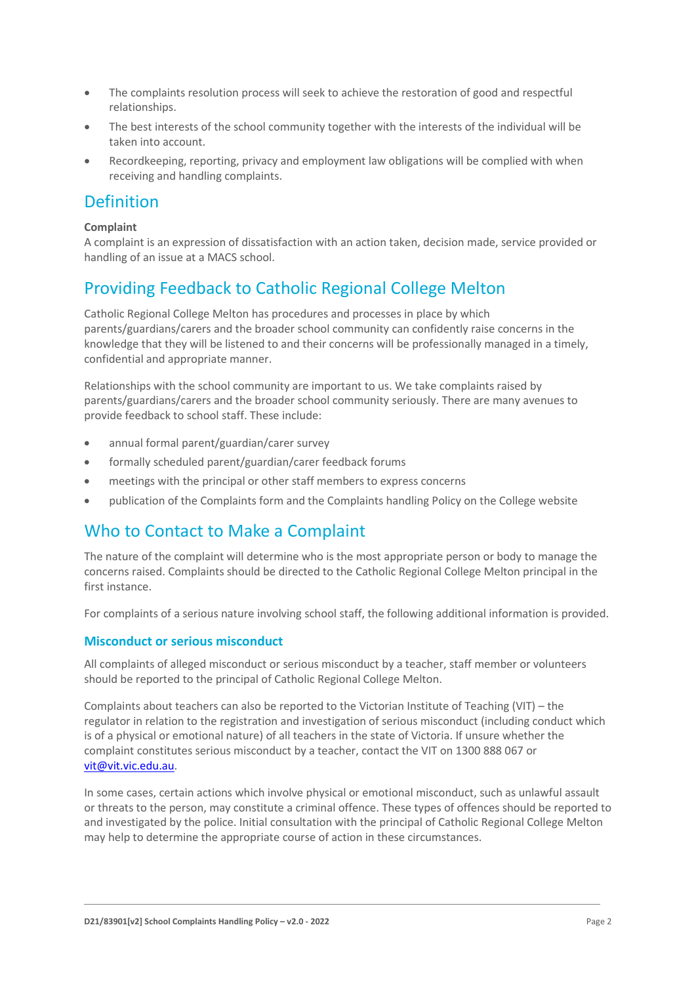- The complaints resolution process will seek to achieve the restoration of good and respectful relationships.
- The best interests of the school community together with the interests of the individual will be taken into account.
- Recordkeeping, reporting, privacy and employment law obligations will be complied with when receiving and handling complaints.

### Definition

#### **Complaint**

A complaint is an expression of dissatisfaction with an action taken, decision made, service provided or handling of an issue at a MACS school.

## Providing Feedback to Catholic Regional College Melton

Catholic Regional College Melton has procedures and processes in place by which parents/guardians/carers and the broader school community can confidently raise concerns in the knowledge that they will be listened to and their concerns will be professionally managed in a timely, confidential and appropriate manner.

Relationships with the school community are important to us. We take complaints raised by parents/guardians/carers and the broader school community seriously. There are many avenues to provide feedback to school staff. These include:

- annual formal parent/guardian/carer survey
- formally scheduled parent/guardian/carer feedback forums
- meetings with the principal or other staff members to express concerns
- publication of the Complaints form and the Complaints handling Policy on the College website

### Who to Contact to Make a Complaint

The nature of the complaint will determine who is the most appropriate person or body to manage the concerns raised. Complaints should be directed to the Catholic Regional College Melton principal in the first instance.

For complaints of a serious nature involving school staff, the following additional information is provided.

#### **Misconduct or serious misconduct**

All complaints of alleged misconduct or serious misconduct by a teacher, staff member or volunteers should be reported to the principal of Catholic Regional College Melton.

Complaints about teachers can also be reported to the Victorian Institute of Teaching (VIT) – the regulator in relation to the registration and investigation of serious misconduct (including conduct which is of a physical or emotional nature) of all teachers in the state of Victoria. If unsure whether the complaint constitutes serious misconduct by a teacher, contact the VIT on 1300 888 067 or [vit@vit.vic.edu.au.](mailto:vit@vit.vic.edu.au)

In some cases, certain actions which involve physical or emotional misconduct, such as unlawful assault or threats to the person, may constitute a criminal offence. These types of offences should be reported to and investigated by the police. Initial consultation with the principal of Catholic Regional College Melton may help to determine the appropriate course of action in these circumstances.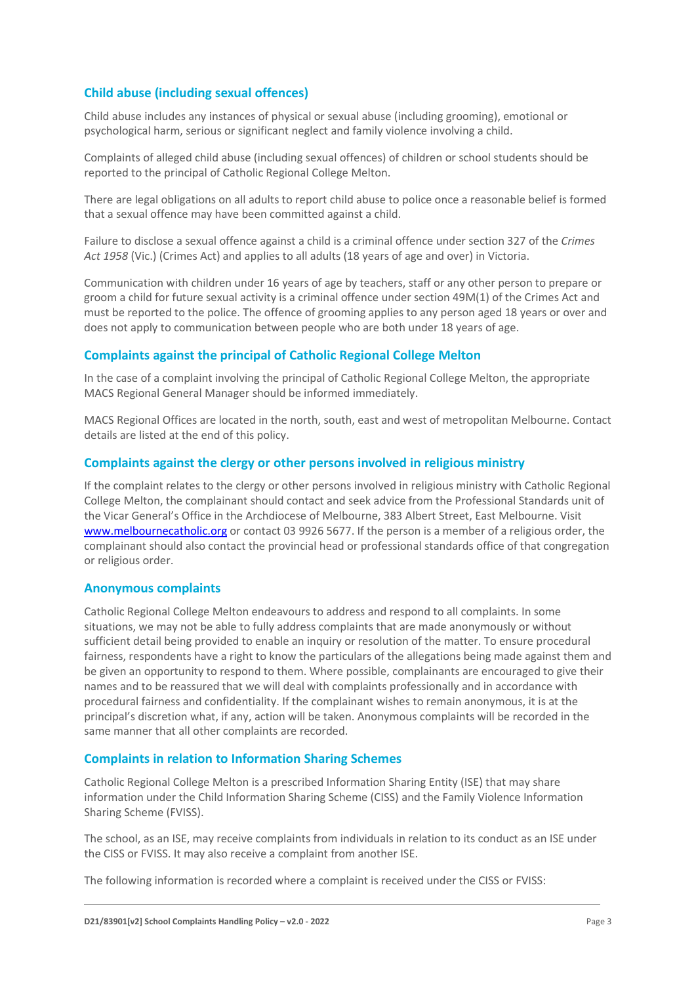#### **Child abuse (including sexual offences)**

Child abuse includes any instances of physical or sexual abuse (including grooming), emotional or psychological harm, serious or significant neglect and family violence involving a child.

Complaints of alleged child abuse (including sexual offences) of children or school students should be reported to the principal of Catholic Regional College Melton.

There are legal obligations on all adults to report child abuse to police once a reasonable belief is formed that a sexual offence may have been committed against a child.

Failure to disclose a sexual offence against a child is a criminal offence under section 327 of the *Crimes Act 1958* (Vic.) (Crimes Act) and applies to all adults (18 years of age and over) in Victoria.

Communication with children under 16 years of age by teachers, staff or any other person to prepare or groom a child for future sexual activity is a criminal offence under section 49M(1) of the Crimes Act and must be reported to the police. The offence of grooming applies to any person aged 18 years or over and does not apply to communication between people who are both under 18 years of age.

#### **Complaints against the principal of Catholic Regional College Melton**

In the case of a complaint involving the principal of Catholic Regional College Melton, the appropriate MACS Regional General Manager should be informed immediately.

MACS Regional Offices are located in the north, south, east and west of metropolitan Melbourne. Contact details are listed at the end of this policy.

#### **Complaints against the clergy or other persons involved in religious ministry**

If the complaint relates to the clergy or other persons involved in religious ministry with Catholic Regional College Melton, the complainant should contact and seek advice from the Professional Standards unit of the Vicar General's Office in the Archdiocese of Melbourne, 383 Albert Street, East Melbourne. Visit [www.melbournecatholic.org](http://www.melbournecatholic.org/) or contact 03 9926 5677. If the person is a member of a religious order, the complainant should also contact the provincial head or professional standards office of that congregation or religious order.

#### **Anonymous complaints**

Catholic Regional College Melton endeavours to address and respond to all complaints. In some situations, we may not be able to fully address complaints that are made anonymously or without sufficient detail being provided to enable an inquiry or resolution of the matter. To ensure procedural fairness, respondents have a right to know the particulars of the allegations being made against them and be given an opportunity to respond to them. Where possible, complainants are encouraged to give their names and to be reassured that we will deal with complaints professionally and in accordance with procedural fairness and confidentiality. If the complainant wishes to remain anonymous, it is at the principal's discretion what, if any, action will be taken. Anonymous complaints will be recorded in the same manner that all other complaints are recorded.

#### **Complaints in relation to Information Sharing Schemes**

Catholic Regional College Melton is a prescribed Information Sharing Entity (ISE) that may share information under the Child Information Sharing Scheme (CISS) and the Family Violence Information Sharing Scheme (FVISS).

The school, as an ISE, may receive complaints from individuals in relation to its conduct as an ISE under the CISS or FVISS. It may also receive a complaint from another ISE.

The following information is recorded where a complaint is received under the CISS or FVISS: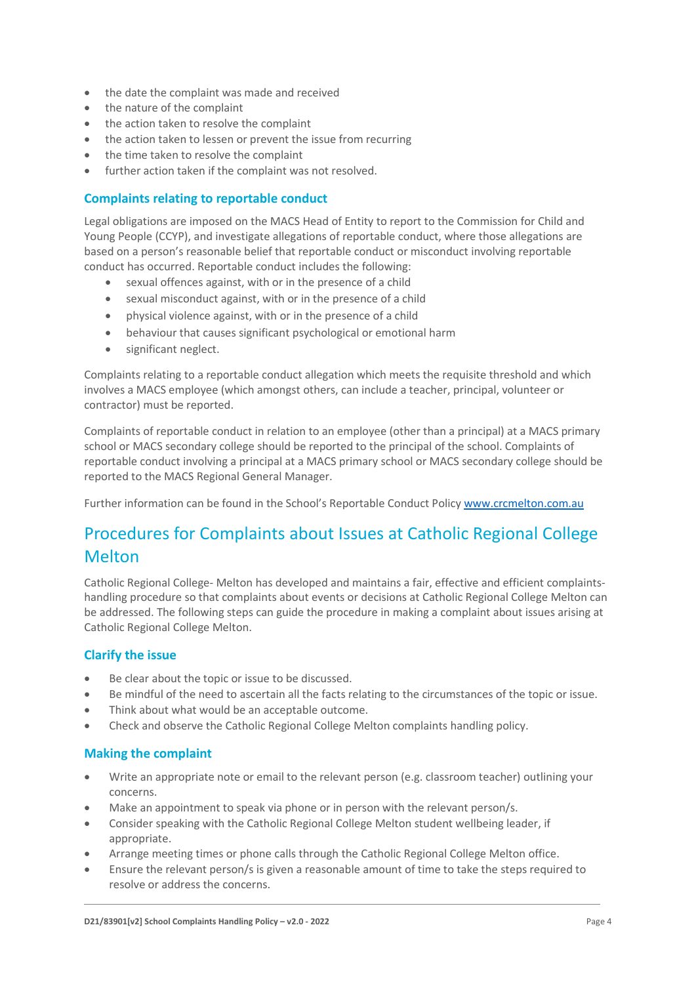- the date the complaint was made and received
- the nature of the complaint
- the action taken to resolve the complaint
- the action taken to lessen or prevent the issue from recurring
- the time taken to resolve the complaint
- further action taken if the complaint was not resolved.

#### **Complaints relating to reportable conduct**

Legal obligations are imposed on the MACS Head of Entity to report to the Commission for Child and Young People (CCYP), and investigate allegations of reportable conduct, where those allegations are based on a person's reasonable belief that reportable conduct or misconduct involving reportable conduct has occurred. Reportable conduct includes the following:

- sexual offences against, with or in the presence of a child
- sexual misconduct against, with or in the presence of a child
- physical violence against, with or in the presence of a child
- behaviour that causes significant psychological or emotional harm
- significant neglect.

Complaints relating to a reportable conduct allegation which meets the requisite threshold and which involves a MACS employee (which amongst others, can include a teacher, principal, volunteer or contractor) must be reported.

Complaints of reportable conduct in relation to an employee (other than a principal) at a MACS primary school or MACS secondary college should be reported to the principal of the school. Complaints of reportable conduct involving a principal at a MACS primary school or MACS secondary college should be reported to the MACS Regional General Manager.

Further information can be found in the School's Reportable Conduct Policy [www.crcmelton.com.au](https://www.crcmelton.com.au/files/MACS-Policies-May-2022/Child-Safety/Reportable-Conduct-Policy-v2-0-2022.pdf) 

## Procedures for Complaints about Issues at Catholic Regional College **Melton**

Catholic Regional College- Melton has developed and maintains a fair, effective and efficient complaintshandling procedure so that complaints about events or decisions at Catholic Regional College Melton can be addressed. The following steps can guide the procedure in making a complaint about issues arising at Catholic Regional College Melton.

#### **Clarify the issue**

- Be clear about the topic or issue to be discussed.
- Be mindful of the need to ascertain all the facts relating to the circumstances of the topic or issue.
- Think about what would be an acceptable outcome.
- Check and observe the Catholic Regional College Melton complaints handling policy.

#### **Making the complaint**

- Write an appropriate note or email to the relevant person (e.g. classroom teacher) outlining your concerns.
- Make an appointment to speak via phone or in person with the relevant person/s.
- Consider speaking with the Catholic Regional College Melton student wellbeing leader, if appropriate.
- Arrange meeting times or phone calls through the Catholic Regional College Melton office.
- Ensure the relevant person/s is given a reasonable amount of time to take the steps required to resolve or address the concerns.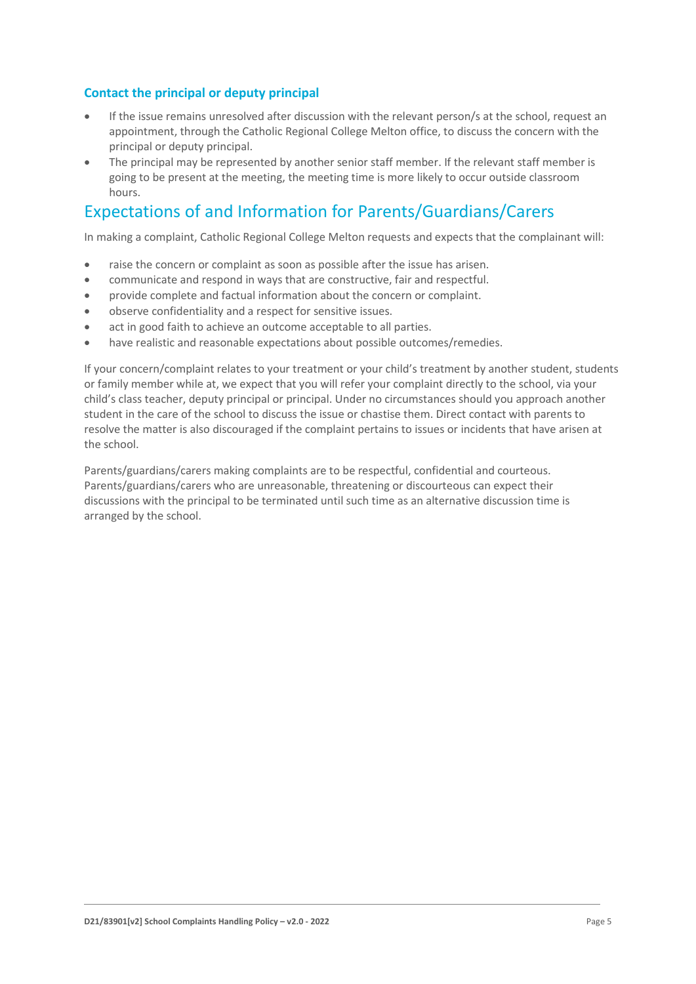#### **Contact the principal or deputy principal**

- If the issue remains unresolved after discussion with the relevant person/s at the school, request an appointment, through the Catholic Regional College Melton office, to discuss the concern with the principal or deputy principal.
- The principal may be represented by another senior staff member. If the relevant staff member is going to be present at the meeting, the meeting time is more likely to occur outside classroom hours.

### Expectations of and Information for Parents/Guardians/Carers

In making a complaint, Catholic Regional College Melton requests and expects that the complainant will:

- raise the concern or complaint as soon as possible after the issue has arisen.
- communicate and respond in ways that are constructive, fair and respectful.
- provide complete and factual information about the concern or complaint.
- observe confidentiality and a respect for sensitive issues.
- act in good faith to achieve an outcome acceptable to all parties.
- have realistic and reasonable expectations about possible outcomes/remedies.

If your concern/complaint relates to your treatment or your child's treatment by another student, students or family member while at, we expect that you will refer your complaint directly to the school, via your child's class teacher, deputy principal or principal. Under no circumstances should you approach another student in the care of the school to discuss the issue or chastise them. Direct contact with parents to resolve the matter is also discouraged if the complaint pertains to issues or incidents that have arisen at the school.

Parents/guardians/carers making complaints are to be respectful, confidential and courteous. Parents/guardians/carers who are unreasonable, threatening or discourteous can expect their discussions with the principal to be terminated until such time as an alternative discussion time is arranged by the school.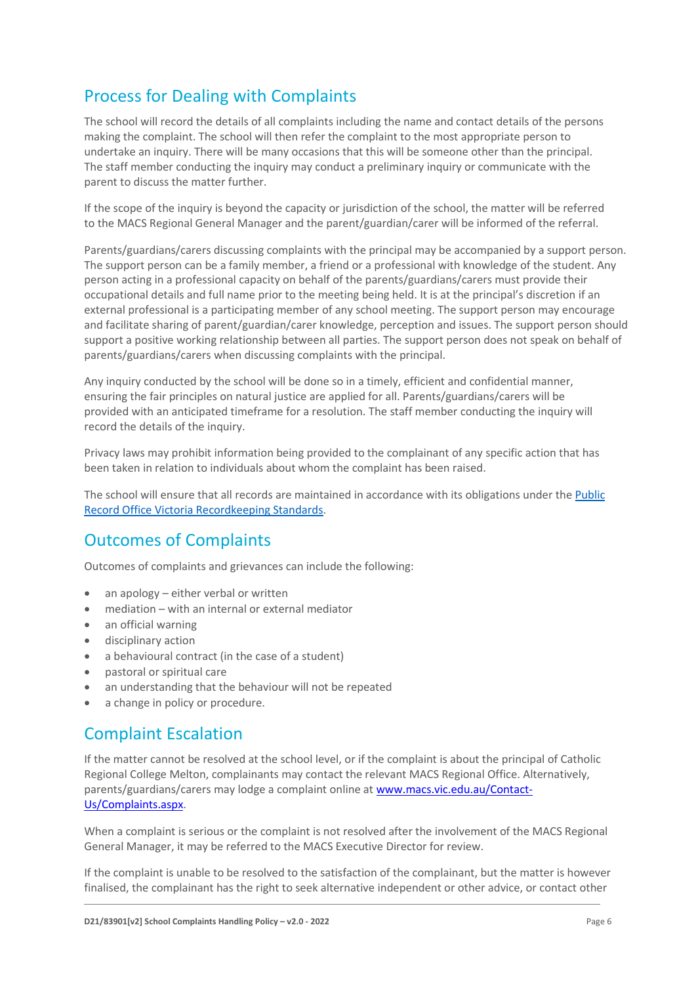# Process for Dealing with Complaints

The school will record the details of all complaints including the name and contact details of the persons making the complaint. The school will then refer the complaint to the most appropriate person to undertake an inquiry. There will be many occasions that this will be someone other than the principal. The staff member conducting the inquiry may conduct a preliminary inquiry or communicate with the parent to discuss the matter further.

If the scope of the inquiry is beyond the capacity or jurisdiction of the school, the matter will be referred to the MACS Regional General Manager and the parent/guardian/carer will be informed of the referral.

Parents/guardians/carers discussing complaints with the principal may be accompanied by a support person. The support person can be a family member, a friend or a professional with knowledge of the student. Any person acting in a professional capacity on behalf of the parents/guardians/carers must provide their occupational details and full name prior to the meeting being held. It is at the principal's discretion if an external professional is a participating member of any school meeting. The support person may encourage and facilitate sharing of parent/guardian/carer knowledge, perception and issues. The support person should support a positive working relationship between all parties. The support person does not speak on behalf of parents/guardians/carers when discussing complaints with the principal.

Any inquiry conducted by the school will be done so in a timely, efficient and confidential manner, ensuring the fair principles on natural justice are applied for all. Parents/guardians/carers will be provided with an anticipated timeframe for a resolution. The staff member conducting the inquiry will record the details of the inquiry.

Privacy laws may prohibit information being provided to the complainant of any specific action that has been taken in relation to individuals about whom the complaint has been raised.

The school will ensure that all records are maintained in accordance with its obligations under the [Public](https://prov.vic.gov.au/recordkeeping-government/standards-framework)  [Record Office Victoria Recordkeeping Standards.](https://prov.vic.gov.au/recordkeeping-government/standards-framework)

### Outcomes of Complaints

Outcomes of complaints and grievances can include the following:

- an apology either verbal or written
- mediation with an internal or external mediator
- an official warning
- disciplinary action
- a behavioural contract (in the case of a student)
- pastoral or spiritual care
- an understanding that the behaviour will not be repeated
- a change in policy or procedure.

### Complaint Escalation

If the matter cannot be resolved at the school level, or if the complaint is about the principal of Catholic Regional College Melton, complainants may contact the relevant MACS Regional Office. Alternatively, parents/guardians/carers may lodge a complaint online at [www.macs.vic.edu.au/Contact-](http://www.macs.vic.edu.au/Contact-Us/Complaints.aspx)[Us/Complaints.aspx.](http://www.macs.vic.edu.au/Contact-Us/Complaints.aspx)

When a complaint is serious or the complaint is not resolved after the involvement of the MACS Regional General Manager, it may be referred to the MACS Executive Director for review.

If the complaint is unable to be resolved to the satisfaction of the complainant, but the matter is however finalised, the complainant has the right to seek alternative independent or other advice, or contact other